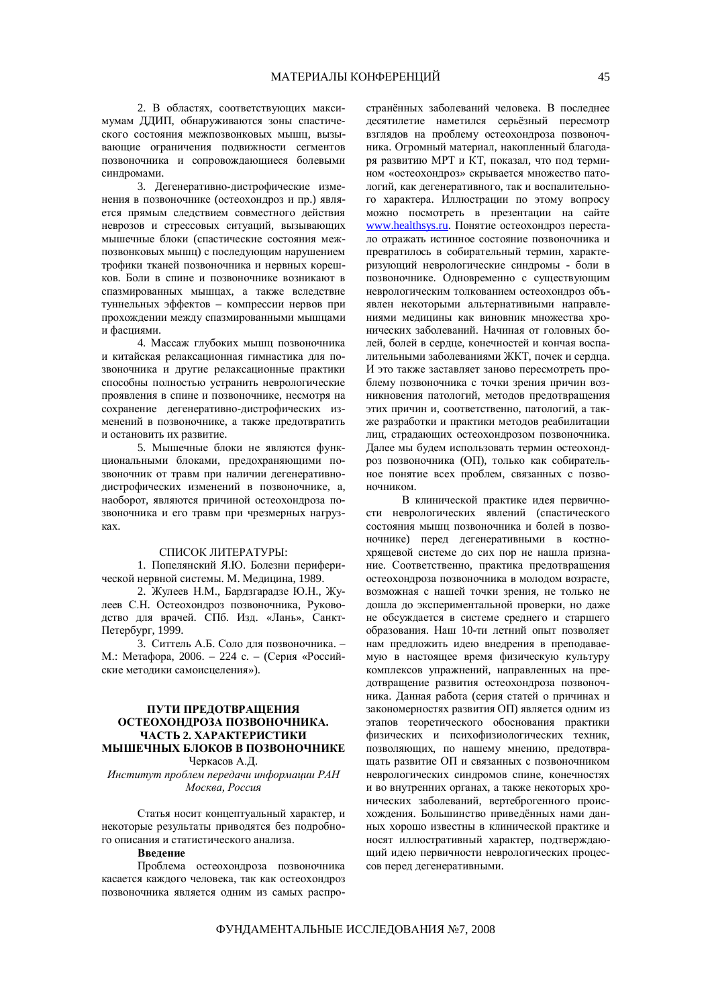2. В областях, соответствующих максимумам ЛЛИП, обнаруживаются зоны спастического состояния межпозвонковых мышц, вызывающие ограничения подвижности сегментов позвоночника и сопровождающиеся болевыми синдромами.

3. Дегенеративно-дистрофические изменения в позвоночнике (остеохондроз и пр.) является прямым следствием совместного действия неврозов и стрессовых ситуаций, вызывающих мышечные блоки (спастические состояния межпозвонковых мышц) с последующим нарушением трофики тканей позвоночника и нервных корешков. Боли в спине и позвоночнике возникают в спазмированных мышцах, а также вследствие туннельных эффектов – компрессии нервов при прохождении между спазмированными мышцами и фасциями.

4. Массаж глубоких мышц позвоночника и китайская релаксационная гимнастика для позвоночника и другие релаксационные практики способны полностью устранить неврологические проявления в спине и позвоночнике, несмотря на сохранение дегенеративно-дистрофических изменений в позвоночнике, а также предотвратить и остановить их развитие.

5. Мышечные блоки не являются функциональными блоками, предохраняющими позвоночник от травм при наличии дегенеративнодистрофических изменений в позвоночнике, а, наоборот, являются причиной остеохондроза позвоночника и его травм при чрезмерных нагрузках.

#### СПИСОК ЛИТЕРАТУРЫ:

1. Попелянский Я.Ю. Болезни периферической нервной системы. М. Медицина, 1989.

2. Жулеев Н.М., Бардзгарадзе Ю.Н., Жулеев С.Н. Остеохондроз позвоночника, Руководство для врачей. СПб. Изд. «Лань», Санкт-Петербург, 1999.

3. Ситтель А.Б. Соло для позвоночника. -М.: Метафора, 2006. – 224 с. – (Серия «Российские методики самоисцеления»).

## ПУТИ ПРЕЛОТВРАШЕНИЯ ОСТЕОХОНЛРОЗА ПОЗВОНОЧНИКА. **ЧАСТЬ 2. ХАРАКТЕРИСТИКИ** МЫШЕЧНЫХ БЛОКОВ В ПОЗВОНОЧНИКЕ Черкасов А.Д.

#### $H$ нститут проблем передачи информации РАН  $Mock$ ва, Россия

Статья носит концептуальный характер, и некоторые результаты приводятся без подробного описания и статистического анализа.

## **Ввеление**

Проблема остеохондроза позвоночника касается каждого человека, так как остеохондроз позвоночника является одним из самых распространённых заболеваний человека. В последнее десятилетие наметился серьёзный пересмотр взглядов на проблему остеохондроза позвоночника. Огромный материал, накопленный благодаря развитию МРТ и КТ, показал, что под термином «остеохондроз» скрывается множество патологий, как дегенеративного, так и воспалительного характера. Иллюстрации по этому вопросу можно посмотреть в презентации на сайте [www.healthsys.ru.](http://www.healthsys.ru.) Понятие остеохондроз перестало отражать истинное состояние позвоночника и превратилось в собирательный термин, характеризующий неврологические синдромы - боли в позвоночнике. Одновременно с существующим неврологическим толкованием остеохондроз объявлен некоторыми альтернативными направлениями медицины как виновник множества хронических заболеваний. Начиная от головных болей, болей в сердце, конечностей и кончая воспалительными заболеваниями ЖКТ, почек и сердца. И это также заставляет заново пересмотреть проблему позвоночника с точки зрения причин возникновения патологий, методов предотвращения этих причин и, соответственно, патологий, а также разработки и практики методов реабилитации лиц, страдающих остеохондрозом позвоночника. Далее мы будем использовать термин остеохондроз позвоночника (ОП), только как собирательное понятие всех проблем, связанных с позвоночником

В клинической практике идея первичности неврологических явлений (спастического состояния мышц позвоночника и болей в позвоночнике) перед дегенеративными в костнохрящевой системе до сих пор не нашла признание. Соответственно, практика предотвращения остеохондроза позвоночника в молодом возрасте, возможная с нашей точки зрения, не только не иошла до экспериментальной проверки, но даже не обсуждается в системе среднего и старшего образования. Наш 10-ти летний опыт позволяет нам предложить идею внедрения в преподаваемую в настоящее время физическую культуру комплексов упражнений, направленных на предотвращение развития остеохондроза позвоночника. Данная работа (серия статей о причинах и закономерностях развития ОП) является одним из этапов теоретического обоснования практики физических и психофизиологических техник, позволяющих, по нашему мнению, предотвращать развитие ОП и связанных с позвоночником неврологических синдромов спине, конечностях и во внутренних органах, а также некоторых хронических заболеваний, вертеброгенного происхождения. Большинство приведённых нами данных хорошо известны в клинической практике и носят иллюстративный характер, подтверждающий идею первичности неврологических процессов перед дегенеративными.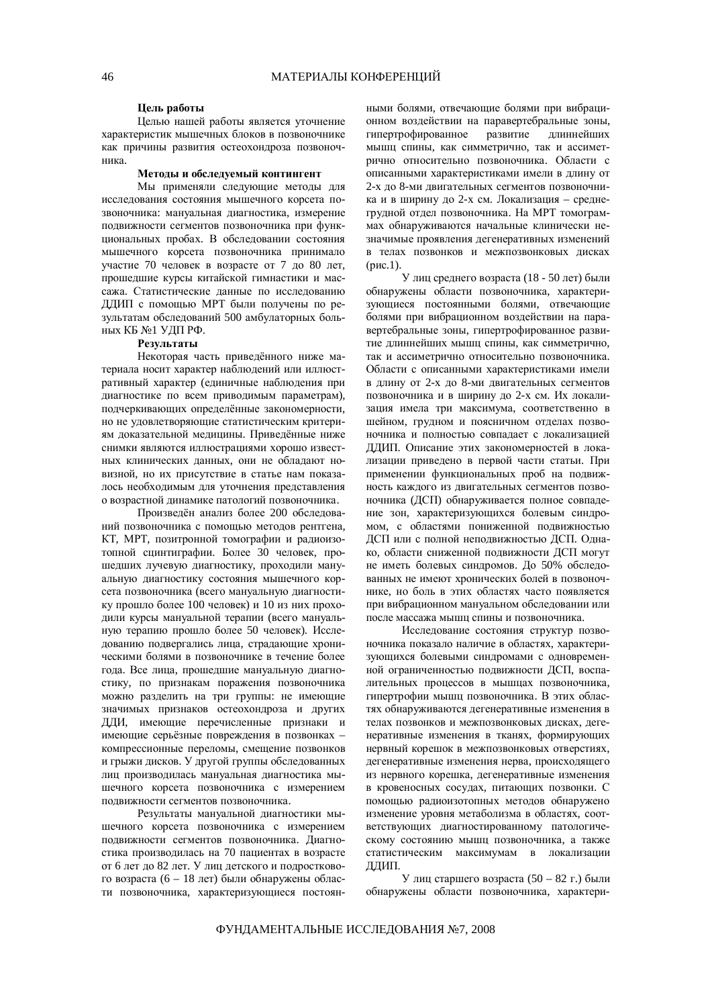#### **Пель ваботы**

Шелью нашей работы является уточнение характеристик мышечных блоков в позвоночнике как причины развития остеохондроза позвоночника

# Методы и обследуемый контингент

Мы применяли следующие методы для исследования состояния мышечного корсета позвоночника: мануальная лиагностика, измерение полвижности сегментов позвоночника при функщиональных пробах. В обследовании состояния мышечного корсета позвоночника принимало участие 70 человек в возрасте от 7 до 80 лет, прошедшие курсы китайской гимнастики и массажа. Статистические данные по исследованию ДДИП с помощью МРТ были получены по результатам обследований 500 амбулаторных больных КБ №1 УДП РФ.

## Результаты

Некоторая часть привелённого ниже материала носит характер наблюдений или иллюстративный характер (единичные наблюдения при диагностике по всем приводимым параметрам), подчеркивающих определённые закономерности, но не удовлетворяющие статистическим критериям доказательной медицины. Приведённые ниже снимки являются иллюстрациями хорошо известных клинических данных, они не обладают новизной, но их присутствие в статье нам показалось необходимым для уточнения представления о возрастной динамике патологий позвоночника.

Произведён анализ более 200 обследований позвоночника с помощью методов рентгена, КТ, МРТ, позитронной томографии и радиоизотопной сцинтиграфии. Более 30 человек, прошедших лучевую диагностику, проходили мануальную диагностику состояния мышечного корсета позвоночника (всего мануальную диагностику прошло более 100 человек) и 10 из них проходили курсы мануальной терапии (всего мануальную терапию прошло более 50 человек). Исследованию подвергались лица, страдающие хроническими болями в позвоночнике в течение более года. Все лица, прошедшие мануальную диагностику, по признакам поражения позвоночника можно разделить на три группы: не имеющие значимых признаков остеохондроза и других ДДИ, имеющие перечисленные признаки и имеющие серьёзные повреждения в позвонках компрессионные переломы, смещение позвонков и грыжи дисков. У другой группы обследованных лиц производилась мануальная диагностика мышечного корсета позвоночника с измерением подвижности сегментов позвоночника.

Результаты мануальной лиагностики мышечного корсета позвоночника с измерением полвижности сегментов позвоночника. Лиагностика производилась на 70 пациентах в возрасте от 6 лет до 82 лет. У лиц детского и подросткового возраста (6 – 18 лет) были обнаружены области позвоночника, характеризующиеся постоянными болями, отвечающие болями при вибрационном воздействии на паравертебральные зоны, гипертрофированное развитие длиннейших мышц спины, как симметрично, так и ассиметрично относительно позвоночника. Области с описанными характеристиками имели в длину от 2-х до 8-ми двигательных сегментов позвоночника и в ширину до 2-х см. Локализация – среднегрулной отлел позвоночника. На МРТ томограммах обнаруживаются начальные клинически незначимые проявления дегенеративных изменений в телах позвонков и межпозвонковых дисках  $(pnc.1)$ .

У лиц среднего возраста (18 - 50 лет) были обнаружены области позвоночника, характеризующиеся постоянными болями, отвечающие болями при вибрационном воздействии на паравертебральные зоны, гипертрофированное развитие длиннейших мышц спины, как симметрично, так и ассиметрично относительно позвоночника. Области с описанными характеристиками имели в длину от 2-х до 8-ми двигательных сегментов позвоночника и в ширину до 2-х см. Их локализация имела три максимума, соответственно в шейном, грудном и поясничном отделах позвоночника и полностью совпадает с локализацией ЛЛИП. Описание этих закономерностей в локализации приведено в первой части статьи. При применении функциональных проб на подвижность каждого из двигательных сегментов позвоночника (ДСП) обнаруживается полное совпадение зон, характеризующихся болевым синдромом, с областями пониженной подвижностью ДСП или с полной неподвижностью ДСП. Однако, области сниженной подвижности ДСП могут не иметь болевых синдромов. До 50% обследованных не имеют хронических болей в позвоночнике, но боль в этих областях часто появляется при вибрационном мануальном обследовании или после массажа мышц спины и позвоночника.

Исследование состояния структур позвоночника показало наличие в областях, характеризующихся болевыми синдромами с одновременной ограниченностью подвижности ДСП, воспалительных процессов в мышцах позвоночника, гипертрофии мышц позвоночника. В этих областях обнаруживаются дегенеративные изменения в телах позвонков и межпозвонковых лисках, легенеративные изменения в тканях, формирующих нервный корешок в межпозвонковых отверстиях, дегенеративные изменения нерва, происходящего из нервного корешка, дегенеративные изменения в кровеносных сосудах, питающих позвонки. С помощью радиоизотопных методов обнаружено изменение уровня метаболизма в областях, соответствующих диагностированному патологическому состоянию мышц позвоночника, а также статистическим максимумам в локализации ДДИП.

У лиц старшего возраста (50 – 82 г.) были обнаружены области позвоночника, характери-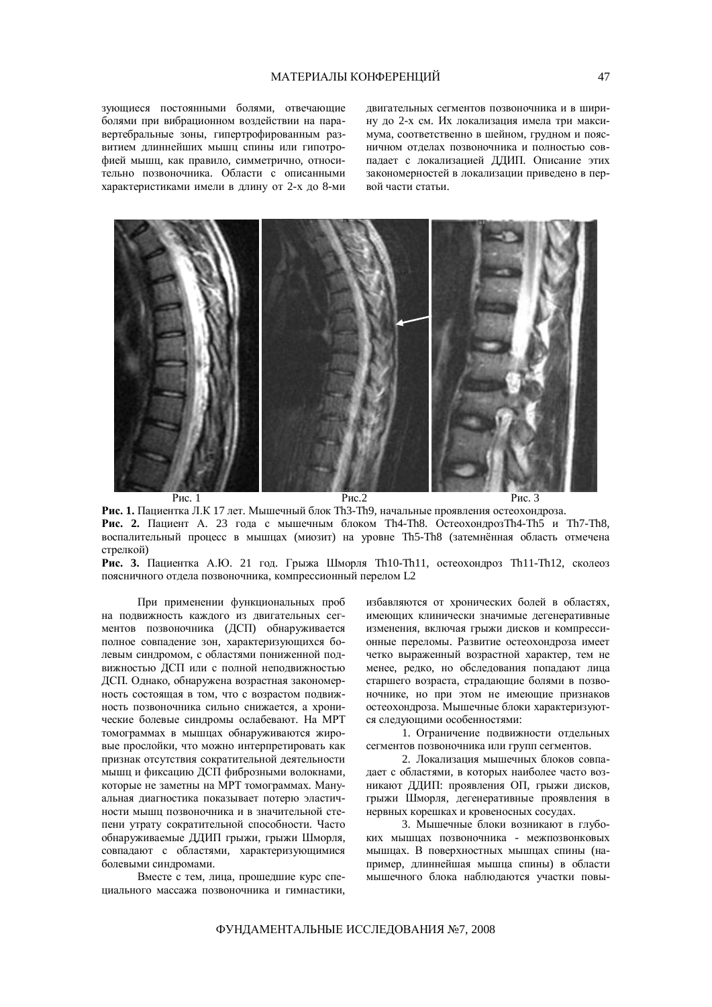зующиеся постоянными болями, отвечающие болями при вибрационном воздействии на паравертебральные зоны, гипертрофированным развитием длиннейших мышц спины или гипотрофией мышц, как правило, симметрично, относительно позвоночника. Области с описанными характеристиками имели в длину от 2-х до 8-ми

двигательных сегментов позвоночника и в ширину до 2-х см. Их локализация имела три максимума, соответственно в шейном, грудном и поясничном отделах позвоночника и полностью совпадает с локализацией ДДИП. Описание этих закономерностей в локализации приведено в первой части статьи.



Рис. 1. Пациентка Л.К 17 лет. Мышечный блок Th3-Th9, начальные проявления остеохондроза. Рис. 2. Пациент А. 23 года с мышечным блоком Th4-Th8. Остеохондроз Th4-Th5 и Th7-Th8, воспалительный процесс в мышцах (миозит) на уровне Th5-Th8 (затемнённая область отмечена стрелкой)

Рис. 3. Пациентка А.Ю. 21 год. Грыжа Шморля Th10-Th11, остеохондроз Th11-Th12, сколеоз поясничного отдела позвоночника, компрессионный перелом L2

При применении функциональных проб на подвижность каждого из двигательных сегментов позвоночника (ДСП) обнаруживается полное совпадение зон, характеризующихся болевым синдромом, с областями пониженной подвижностью ДСП или с полной неподвижностью ДСП. Однако, обнаружена возрастная закономерность состоящая в том, что с возрастом подвижность позвоночника сильно снижается, а хронические болевые синдромы ослабевают. На МРТ томограммах в мышцах обнаруживаются жировые прослойки, что можно интерпретировать как признак отсутствия сократительной деятельности мышц и фиксацию ДСП фиброзными волокнами, которые не заметны на МРТ томограммах. Мануальная диагностика показывает потерю эластичности мышц позвоночника и в значительной степени утрату сократительной способности. Часто обнаруживаемые ДДИП грыжи, грыжи Шморля, совпадают с областями, характеризующимися болевыми синдромами.

Вместе с тем, лица, прошедшие курс специального массажа позвоночника и гимнастики, избавляются от хронических болей в областях, имеющих клинически значимые дегенеративные изменения, включая грыжи дисков и компрессионные переломы. Развитие остеохондроза имеет четко выраженный возрастной характер, тем не менее, редко, но обследования попадают лица старшего возраста, страдающие болями в позвоночнике, но при этом не имеющие признаков остеохондроза. Мышечные блоки характеризуются следующими особенностями:

1. Ограничение подвижности отдельных сегментов позвоночника или групп сегментов.

2. Локализация мышечных блоков совпадает с областями, в которых наиболее часто возникают ДДИП: проявления ОП, грыжи дисков, грыжи Шморля, дегенеративные проявления в нервных корешках и кровеносных сосудах.

3. Мышечные блоки возникают в глубоких мышцах позвоночника - межпозвонковых мышцах. В поверхностных мышцах спины (например, длиннейшая мышца спины) в области мышечного блока наблюдаются участки повы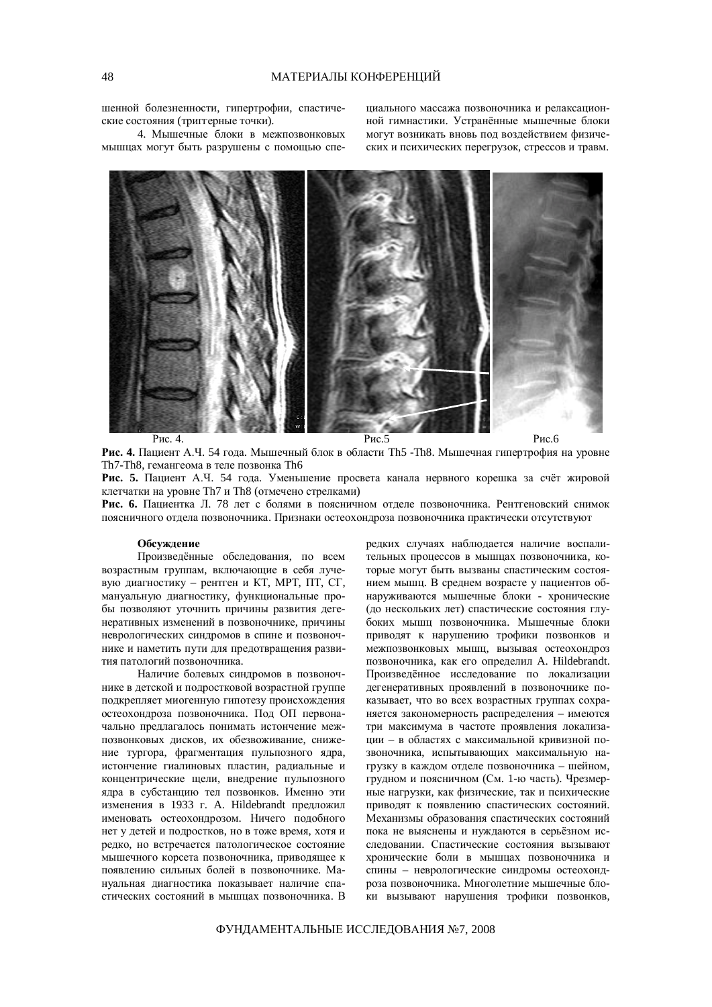шенной болезненности, гипертрофии, спастические состояния (триггерные точки).

4. Мышечные блоки в межпозвонковых мышцах могут быть разрушены с помощью специального массажа позвоночника и релаксационной гимнастики. Устранённые мышечные блоки могут возникать вновь под воздействием физических и психических перегрузок, стрессов и травм.



Рис. 4. Пациент А.Ч. 54 года. Мышечный блок в области Th5 -Th8. Мышечная гипертрофия на уровне Th7-Th8, гемангеома в теле позвонка Th6

Рис. 5. Пациент А.Ч. 54 года. Уменьшение просвета канала нервного корешка за счёт жировой клетчатки на уровне Th7 и Th8 (отмечено стрелками)

Рис. 6. Пациентка Л. 78 лет с болями в поясничном отделе позвоночника. Рентгеновский снимок поясничного отдела позвоночника. Признаки остеохондроза позвоночника практически отсутствуют

## Обсуждение

Произведённые обследования, по всем возрастным группам, включающие в себя лучевую диагностику – рентген и КТ, МРТ, ПТ, СГ, мануальную диагностику, функциональные пробы позволяют угочнить причины развития дегенеративных изменений в позвоночнике, причины неврологических синдромов в спине и позвоночнике и наметить пути для предотвращения развития патологий позвоночника.

Наличие болевых синдромов в позвоночнике в детской и подростковой возрастной группе подкрепляет миогенную гипотезу происхождения остеохондроза позвоночника. Под ОП первоначально предлагалось понимать истончение межпозвонковых дисков, их обезвоживание, снижение тургора, фрагментация пульпозного ядра, истончение гиалиновых пластин, радиальные и концентрические щели, внедрение пульпозного ядра в субстанцию тел позвонков. Именно эти изменения в 1933 г. A. Hildebrandt предложил именовать остеохондрозом. Ничего подобного нет у детей и подростков, но в тоже время, хотя и редко, но встречается патологическое состояние мышечного корсета позвоночника, приводящее к появлению сильных болей в позвоночнике. Мануальная диагностика показывает наличие спастических состояний в мышцах позвоночника. В редких случаях наблюдается наличие воспалительных процессов в мышцах позвоночника, которые могут быть вызваны спастическим состоянием мышц. В среднем возрасте у пациентов обнаруживаются мышечные блоки - хронические (до нескольких лет) спастические состояния глубоких мышц позвоночника. Мышечные блоки приводят к нарушению трофики позвонков и Neжпозвонковых мышц, вызывая остеохондроз позвоночника, как его определил A. Hildebrandt. Произведённое исследование по локализации дегенеративных проявлений в позвоночнике показывает, что во всех возрастных группах сохраняется закономерность распределения – имеются три максимума в частоте проявления локализации – в областях с максимальной кривизной позвоночника, испытывающих максимальную нагрузку в каждом отделе позвоночника – шейном, грудном и поясничном (См. 1-ю часть). Чрезмерные нагрузки, как физические, так и психические приводят к появлению спастических состояний. Механизмы образования спастических состояний пока не выяснены и нуждаются в серьёзном исследовании. Спастические состояния вызывают хронические боли в мышцах позвоночника и спины – неврологические синдромы остеохондроза позвоночника. Многолетние мышечные блоки вызывают нарушения трофики позвонков,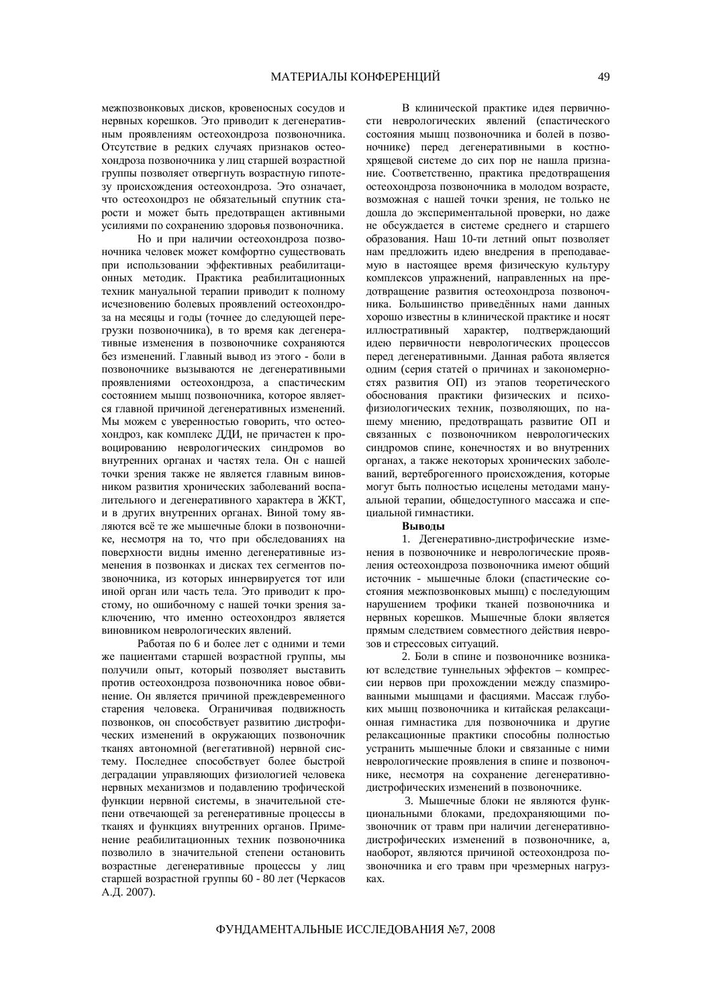межпозвонковых дисков, кровеносных сосудов и нервных корешков. Это приводит к дегенеративным проявлениям остеохондроза позвоночника. Отсутствие в редких случаях признаков остеохондроза позвоночника у лиц старшей возрастной группы позволяет отвергнуть возрастную гипотезу происхождения остеохондроза. Это означает, что остеохондроз не обязательный спутник старости и может быть предотвращен активными усилиями по сохранению здоровья позвоночника.

Но и при наличии остеохондроза позвоночника человек может комфортно существовать при использовании эффективных реабилитационных методик. Практика реабилитационных техник мануальной терапии приводит к полному исчезновению болевых проявлений остеохондроза на месяцы и годы (точнее до следующей перегрузки позвоночника), в то время как дегенеративные изменения в позвоночнике сохраняются без изменений. Главный вывод из этого - боли в позвоночнике вызываются не дегенеративными проявлениями остеохондроза, а спастическим состоянием мышц позвоночника, которое является главной причиной дегенеративных изменений. Мы можем с уверенностью говорить, что остеохондроз, как комплекс ДДИ, не причастен к провоцированию неврологических синдромов во внутренних органах и частях тела. Он с нашей точки зрения также не является главным виновником развития хронических заболеваний воспалительного и дегенеративного характера в ЖКТ, и в других внутренних органах. Виной тому являются всё те же мышечные блоки в позвоночнике, несмотря на то, что при обследованиях на поверхности видны именно дегенеративные изменения в позвонках и лисках тех сегментов позвоночника, из которых иннервируется тот или иной орган или часть тела. Это приводит к простому, но ошибочному с нашей точки зрения заключению, что именно остеохондроз является виновником неврологических явлений.

Работая по 6 и более лет с одними и теми же пациентами старшей возрастной группы, мы получили опыт, который позволяет выставить против остеохондроза позвоночника новое обвинение. Он является причиной преждевременного старения человека. Ограничивая подвижность позвонков, он способствует развитию дистрофических изменений в окружающих позвоночник тканях автономной (вегетативной) нервной систему. Последнее способствует более быстрой деградации управляющих физиологией человека нервных механизмов и подавлению трофической функции нервной системы, в значительной степени отвечающей за регенеративные процессы в тканях и функциях внутренних органов. Применение реабилитационных техник позвоночника позволило в значительной степени остановить возрастные дегенеративные процессы у лиц старшей возрастной группы 60 - 80 лет (Черкасов А.Д. 2007).

В клинической практике илея первичности неврологических явлений (спастического состояния мышц позвоночника и болей в позвоночнике) перед дегенеративными в костнохрящевой системе до сих пор не нашла признание. Соответственно, практика предотвращения остеохондроза позвоночника в молодом возрасте, возможная с нашей точки зрения, не только не дошла до экспериментальной проверки, но даже не обсуждается в системе среднего и старшего образования. Наш 10-ти летний опыт позволяет нам предложить идею внедрения в преподаваемую в настоящее время физическую культуру комплексов упражнений, направленных на предотвращение развития остеохондроза позвоночника. Большинство приведённых нами данных хорошо известны в клинической практике и носят иллюстративный характер, подтверждающий идею первичности неврологических процессов перед дегенеративными. Данная работа является одним (серия статей о причинах и закономерностях развития ОП) из этапов теоретического обоснования практики физических и психофизиологических техник, позволяющих, по нашему мнению, предотвращать развитие ОП и связанных с позвоночником неврологических синдромов спине, конечностях и во внутренних органах, а также некоторых хронических заболеваний, вертеброгенного происхождения, которые могут быть полностью исцелены методами мануальной терапии, общедоступного массажа и специальной гимнастики.

#### **Выводы**

1. Дегенеративно-дистрофические изменения в позвоночнике и неврологические проявления остеохондроза позвоночника имеют общий источник - мышечные блоки (спастические состояния межпозвонковых мышц) с последующим нарушением трофики тканей позвоночника и нервных корешков. Мышечные блоки является прямым следствием совместного действия неврозов и стрессовых ситуаций.

2. Боли в спине и позвоночнике возникают вследствие туннельных эффектов – компрессии нервов при прохождении между спазмированными мышцами и фасциями. Массаж глубоких мышц позвоночника и китайская релаксационная гимнастика для позвоночника и другие релаксационные практики способны полностью устранить мышечные блоки и связанные с ними неврологические проявления в спине и позвоночнике, несмотря на сохранение дегенеративнодистрофических изменений в позвоночнике.

3. Мышечные блоки не являются функциональными блоками, предохраняющими позвоночник от травм при наличии дегенеративнодистрофических изменений в позвоночнике, а, наоборот, являются причиной остеохондроза позвоночника и его травм при чрезмерных нагрузɤɚɯ.